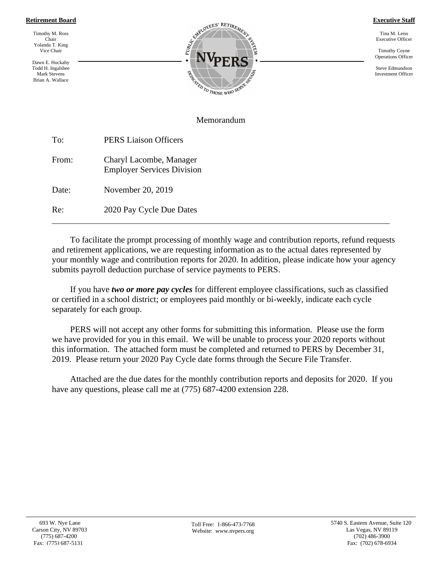#### **Retirement Board**

Timothy M. Ross Chair Yolanda T. King Vice Chair

Dawn E. Huckaby Todd H. Ingalsbee Mark Stevens Brian A. Wallace



**Executive Staff**

Tina M. Leiss Executive Officer

Timothy Coyne Operations Officer

Steve Edmundson Investment Officer

#### Memorandum

| To:   | <b>PERS Liaison Officers</b>                                 |  |
|-------|--------------------------------------------------------------|--|
| From: | Charyl Lacombe, Manager<br><b>Employer Services Division</b> |  |
| Date: | November 20, 2019                                            |  |

Re: 2020 Pay Cycle Due Dates

To facilitate the prompt processing of monthly wage and contribution reports, refund requests and retirement applications, we are requesting information as to the actual dates represented by your monthly wage and contribution reports for 2020. In addition, please indicate how your agency submits payroll deduction purchase of service payments to PERS.

If you have *two or more pay cycles* for different employee classifications, such as classified or certified in a school district; or employees paid monthly or bi-weekly, indicate each cycle separately for each group.

PERS will not accept any other forms for submitting this information. Please use the form we have provided for you in this email. We will be unable to process your 2020 reports without this information. The attached form must be completed and returned to PERS by December 31, 2019. Please return your 2020 Pay Cycle date forms through the Secure File Transfer.

Attached are the due dates for the monthly contribution reports and deposits for 2020. If you have any questions, please call me at (775) 687-4200 extension 228.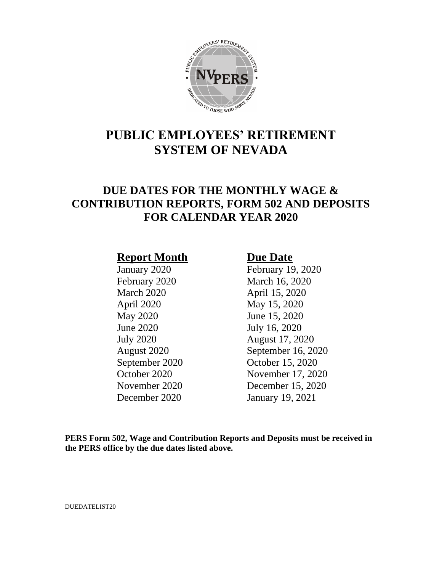

# **PUBLIC EMPLOYEES' RETIREMENT SYSTEM OF NEVADA**

## **DUE DATES FOR THE MONTHLY WAGE & CONTRIBUTION REPORTS, FORM 502 AND DEPOSITS FOR CALENDAR YEAR 2020**

### **Report Month Due Date**

March 2020 April 15, 2020 April 2020 May 15, 2020 May 2020 June 15, 2020 June 2020 July 16, 2020

January 2020 February 19, 2020 February 2020 March 16, 2020 July 2020 August 17, 2020 August 2020 September 16, 2020 September 2020 October 15, 2020 October 2020 November 17, 2020 November 2020 December 15, 2020 December 2020 January 19, 2021

**PERS Form 502, Wage and Contribution Reports and Deposits must be received in the PERS office by the due dates listed above.**